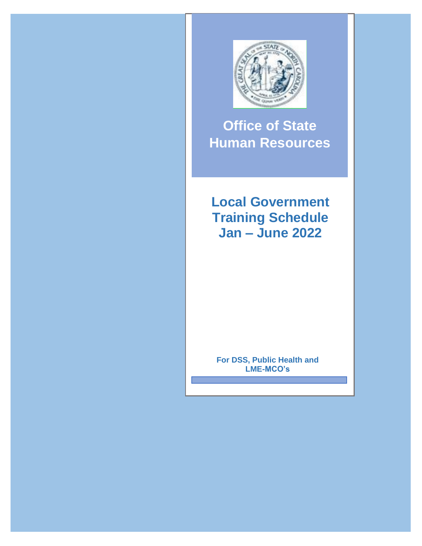

**Office of State Human Resources**

**Local Government Training Schedule Jan – June 2022**

**For DSS, Public Health and LME-MCO's**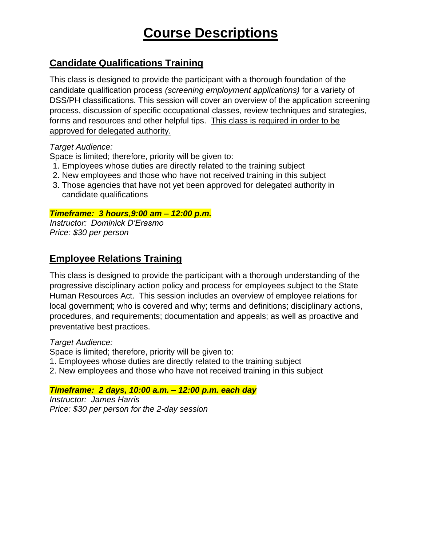# **Course Descriptions**

## **Candidate Qualifications Training**

This class is designed to provide the participant with a thorough foundation of the candidate qualification process *(screening employment applications)* for a variety of DSS/PH classifications. This session will cover an overview of the application screening process, discussion of specific occupational classes, review techniques and strategies, forms and resources and other helpful tips. This class is required in order to be approved for delegated authority.

#### *Target Audience:*

Space is limited; therefore, priority will be given to:

- 1. Employees whose duties are directly related to the training subject
- 2. New employees and those who have not received training in this subject
- 3. Those agencies that have not yet been approved for delegated authority in candidate qualifications

#### *Timeframe: 3 hours,9:00 am – 12:00 p.m.*

*Instructor: Dominick D'Erasmo Price: \$30 per person*

## **Employee Relations Training**

This class is designed to provide the participant with a thorough understanding of the progressive disciplinary action policy and process for employees subject to the State Human Resources Act. This session includes an overview of employee relations for local government; who is covered and why; terms and definitions; disciplinary actions, procedures, and requirements; documentation and appeals; as well as proactive and preventative best practices.

#### *Target Audience:*

Space is limited; therefore, priority will be given to:

- 1. Employees whose duties are directly related to the training subject
- 2. New employees and those who have not received training in this subject

#### *Timeframe: 2 days, 10:00 a.m. – 12:00 p.m. each day*

*Instructor: James Harris Price: \$30 per person for the 2-day session*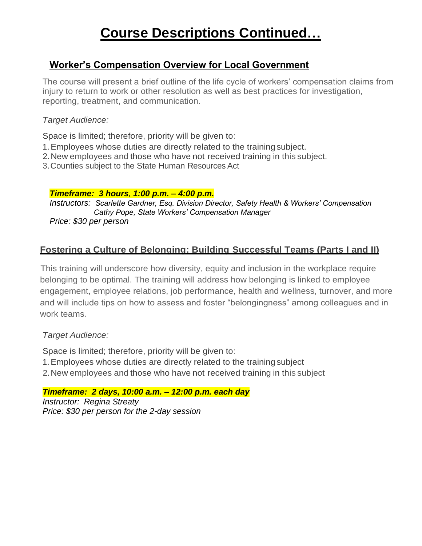# **Course Descriptions Continued…**

## **Worker's Compensation Overview for Local Government**

The course will present a brief outline of the life cycle of workers' compensation claims from injury to return to work or other resolution as well as best practices for investigation, reporting, treatment, and communication.

#### *Target Audience:*

Space is limited; therefore, priority will be given to:

- 1.Employees whose duties are directly related to the trainingsubject.
- 2.New employees and those who have not received training in this subject.
- 3.Counties subject to the State Human Resources Act

#### *Timeframe: 3 hours, 1:00 p.m. – 4:00 p.m.*

*Instructors: Scarlette Gardner, Esq. Division Director, Safety Health & Workers' Compensation Cathy Pope, State Workers' Compensation Manager Price: \$30 per person*

## **Fostering a Culture of Belonging: Building Successful Teams (Parts I and II)**

This training will underscore how diversity, equity and inclusion in the workplace require belonging to be optimal. The training will address how belonging is linked to employee engagement, employee relations, job performance, health and wellness, turnover, and more and will include tips on how to assess and foster "belongingness" among colleagues and in work teams.

*Target Audience:*

Space is limited; therefore, priority will be given to:

- 1.Employees whose duties are directly related to the trainingsubject
- 2.New employees and those who have not received training in this subject

*Timeframe: 2 days, 10:00 a.m. – 12:00 p.m. each day Instructor: Regina Streaty Price: \$30 per person for the 2-day session*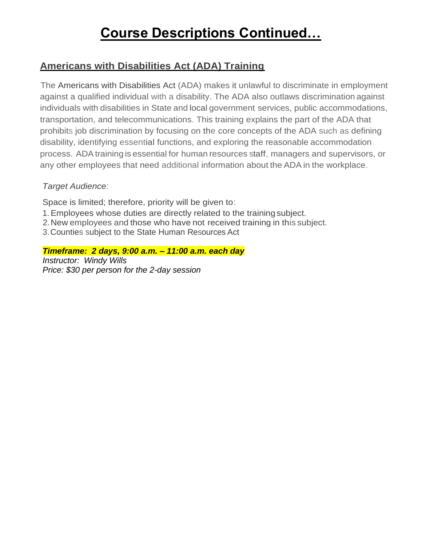# **Course Descriptions Continued…**

## **Americans with Disabilities Act (ADA) Training**

The Americans with Disabilities Act (ADA) makes it unlawful to discriminate in employment against a qualified individual with a disability. The ADA also outlaws discrimination against individuals with disabilities in State and local government services, public accommodations, transportation, and telecommunications. This training explains the part of the ADA that prohibits job discrimination by focusing on the core concepts of the ADA such as defining disability, identifying essential functions, and exploring the reasonable accommodation process. ADA training is essential for human resources staff, managers and supervisors, or any other employees that need additional information about the ADA in the workplace.

### *Target Audience:*

Space is limited; therefore, priority will be given to:

- 1.Employees whose duties are directly related to the trainingsubject.
- 2.New employees and those who have not received training in this subject.
- 3.Counties subject to the State Human Resources Act

#### *Timeframe: 2 days, 9:00 a.m. – 11:00 a.m. each day Instructor: Windy Wills*

*Price: \$30 per person for the 2-day session*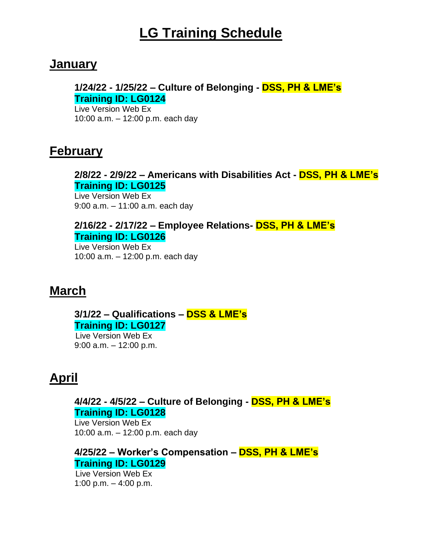# **LG Training Schedule**

## **January**

## **1/24/22 - 1/25/22 – Culture of Belonging - DSS, PH & LME's Training ID: LG0124**

Live Version Web Ex 10:00 a.m. – 12:00 p.m. each day

## **February**

### **2/8/22 - 2/9/22 – Americans with Disabilities Act - DSS, PH & LME's Training ID: LG0125**

Live Version Web Ex 9:00 a.m. – 11:00 a.m. each day

### **2/16/22 - 2/17/22 – Employee Relations- DSS, PH & LME's Training ID: LG0126**

Live Version Web Ex 10:00 a.m. – 12:00 p.m. each day

## **March**

**3/1/22 – Qualifications – DSS & LME's Training ID: LG0127**

Live Version Web Ex 9:00 a.m. – 12:00 p.m.

## **April**

### **4/4/22 - 4/5/22 – Culture of Belonging - DSS, PH & LME's Training ID: LG0128**

Live Version Web Ex 10:00 a.m. – 12:00 p.m. each day

**4/25/22 – Worker's Compensation – DSS, PH & LME's Training ID: LG0129**

Live Version Web Ex 1:00 p.m.  $-$  4:00 p.m.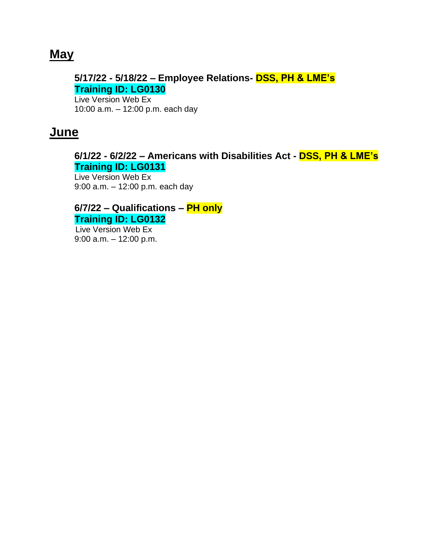## **May**

## **5/17/22 - 5/18/22 – Employee Relations- DSS, PH & LME's Training ID: LG0130**

Live Version Web Ex 10:00 a.m. – 12:00 p.m. each day

## **June**

### **6/1/22 - 6/2/22 – Americans with Disabilities Act - DSS, PH & LME's Training ID: LG0131**

Live Version Web Ex 9:00 a.m. – 12:00 p.m. each day

### **6/7/22 – Qualifications – PH only Training ID: LG0132**

**Live Version Web Ex** 9:00 a.m. – 12:00 p.m.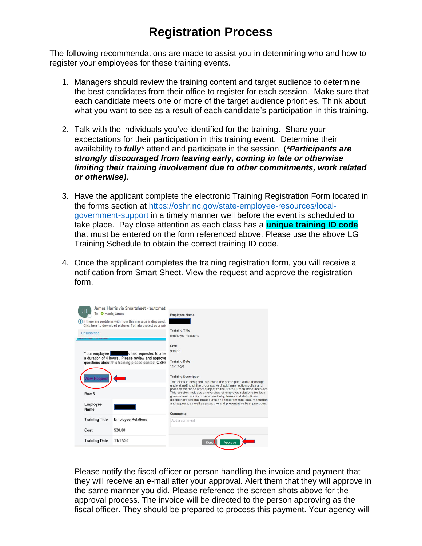## **Registration Process**

The following recommendations are made to assist you in determining who and how to register your employees for these training events.

- 1. Managers should review the training content and target audience to determine the best candidates from their office to register for each session. Make sure that each candidate meets one or more of the target audience priorities. Think about what you want to see as a result of each candidate's participation in this training.
- 2. Talk with the individuals you've identified for the training. Share your expectations for their participation in this training event. Determine their availability to *fully*\* attend and participate in the session. (*\*Participants are strongly discouraged from leaving early, coming in late or otherwise limiting their training involvement due to other commitments, work related or otherwise).*
- 3. Have the applicant complete the electronic Training Registration Form located in the forms section at [https://oshr.nc.gov/state-employee-resources/local](https://oshr.nc.gov/state-employee-resources/local-government-support)[government-support](https://oshr.nc.gov/state-employee-resources/local-government-support) in a timely manner well before the event is scheduled to take place. Pay close attention as each class has a **unique training ID code** that must be entered on the form referenced above. Please use the above LG Training Schedule to obtain the correct training ID code.
- 4. Once the applicant completes the training registration form, you will receive a notification from Smart Sheet. View the request and approve the registration form.

| James Harris via Smartsheet <automati<br>To <b>O</b> Harris, James<br/>(i) If there are problems with how this message is displayed,<br/>Click here to download pictures. To help protect your priv</automati<br> | <b>Employee Name</b>                                                                                                                                                                                                                                                                                                                                                                                             |
|-------------------------------------------------------------------------------------------------------------------------------------------------------------------------------------------------------------------|------------------------------------------------------------------------------------------------------------------------------------------------------------------------------------------------------------------------------------------------------------------------------------------------------------------------------------------------------------------------------------------------------------------|
| Unsubscribe                                                                                                                                                                                                       | <b>Training Title</b>                                                                                                                                                                                                                                                                                                                                                                                            |
|                                                                                                                                                                                                                   | <b>Employee Relations</b>                                                                                                                                                                                                                                                                                                                                                                                        |
|                                                                                                                                                                                                                   | Cost                                                                                                                                                                                                                                                                                                                                                                                                             |
| Your employee shas requested to atter<br>a duration of 4 hours . Please review and approve                                                                                                                        | \$30.00                                                                                                                                                                                                                                                                                                                                                                                                          |
| questions about this training please contact OSHF                                                                                                                                                                 | <b>Training Date</b>                                                                                                                                                                                                                                                                                                                                                                                             |
|                                                                                                                                                                                                                   | 11/17/20                                                                                                                                                                                                                                                                                                                                                                                                         |
|                                                                                                                                                                                                                   |                                                                                                                                                                                                                                                                                                                                                                                                                  |
| <b>lew Reques</b>                                                                                                                                                                                                 | <b>Training Description</b>                                                                                                                                                                                                                                                                                                                                                                                      |
| Row <sub>8</sub>                                                                                                                                                                                                  | This class is designed to provide the participant with a thorough<br>understanding of the progressive disciplinary action policy and<br>process for those staff subject to the State Human Resources Act.<br>This session includes an overview of emplovee relations for local<br>government; who is covered and why; terms and definitions;<br>disciplinary actions, procedures and requirements; documentation |
| Employee<br>Name                                                                                                                                                                                                  | and appeals; as well as proactive and preventative best practices.                                                                                                                                                                                                                                                                                                                                               |
|                                                                                                                                                                                                                   | <b>Comments</b>                                                                                                                                                                                                                                                                                                                                                                                                  |
| <b>Training Title</b><br><b>Employee Relations</b>                                                                                                                                                                | Add a comment                                                                                                                                                                                                                                                                                                                                                                                                    |
| Cost<br>\$30.00                                                                                                                                                                                                   |                                                                                                                                                                                                                                                                                                                                                                                                                  |
| 11/17/20<br><b>Training Date</b>                                                                                                                                                                                  | <b>Approve</b><br>Deny                                                                                                                                                                                                                                                                                                                                                                                           |
|                                                                                                                                                                                                                   |                                                                                                                                                                                                                                                                                                                                                                                                                  |

Please notify the fiscal officer or person handling the invoice and payment that they will receive an e-mail after your approval. Alert them that they will approve in the same manner you did. Please reference the screen shots above for the approval process. The invoice will be directed to the person approving as the fiscal officer. They should be prepared to process this payment. Your agency will